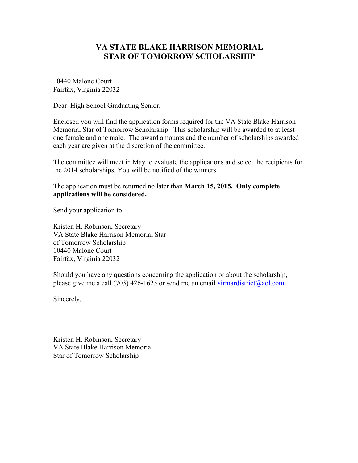10440 Malone Court Fairfax, Virginia 22032

Dear High School Graduating Senior,

Enclosed you will find the application forms required for the VA State Blake Harrison Memorial Star of Tomorrow Scholarship. This scholarship will be awarded to at least one female and one male. The award amounts and the number of scholarships awarded each year are given at the discretion of the committee.

The committee will meet in May to evaluate the applications and select the recipients for the 2014 scholarships. You will be notified of the winners.

The application must be returned no later than **March 15, 2015. Only complete applications will be considered.**

Send your application to:

Kristen H. Robinson, Secretary VA State Blake Harrison Memorial Star of Tomorrow Scholarship 10440 Malone Court Fairfax, Virginia 22032

Should you have any questions concerning the application or about the scholarship, please give me a call (703) 426-1625 or send me an email virmardistrict@aol.com.

Sincerely,

Kristen H. Robinson, Secretary VA State Blake Harrison Memorial Star of Tomorrow Scholarship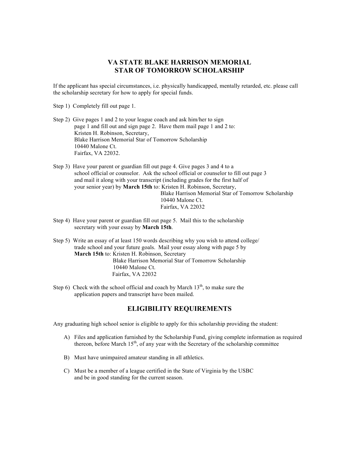If the applicant has special circumstances, i.e. physically handicapped, mentally retarded, etc. please call the scholarship secretary for how to apply for special funds.

- Step 1) Completely fill out page 1.
- Step 2) Give pages 1 and 2 to your league coach and ask him/her to sign page 1 and fill out and sign page 2. Have them mail page 1 and 2 to: Kristen H. Robinson, Secretary, Blake Harrison Memorial Star of Tomorrow Scholarship 10440 Malone Ct. Fairfax, VA 22032.
- Step 3) Have your parent or guardian fill out page 4. Give pages 3 and 4 to a school official or counselor. Ask the school official or counselor to fill out page 3 and mail it along with your transcript (including grades for the first half of your senior year) by **March 15th** to: Kristen H. Robinson, Secretary, Blake Harrison Memorial Star of Tomorrow Scholarship 10440 Malone Ct. Fairfax, VA 22032
- Step 4) Have your parent or guardian fill out page 5. Mail this to the scholarship secretary with your essay by **March 15th**.
- Step 5) Write an essay of at least 150 words describing why you wish to attend college/ trade school and your future goals. Mail your essay along with page 5 by **March 15th** to: Kristen H. Robinson, Secretary Blake Harrison Memorial Star of Tomorrow Scholarship 10440 Malone Ct. Fairfax, VA 22032
- Step 6) Check with the school official and coach by March  $13<sup>th</sup>$ , to make sure the application papers and transcript have been mailed.

# **ELIGIBILITY REQUIREMENTS**

Any graduating high school senior is eligible to apply for this scholarship providing the student:

- A) Files and application furnished by the Scholarship Fund, giving complete information as required thereon, before March  $15<sup>th</sup>$ , of any year with the Secretary of the scholarship committee
- B) Must have unimpaired amateur standing in all athletics.
- C) Must be a member of a league certified in the State of Virginia by the USBC and be in good standing for the current season.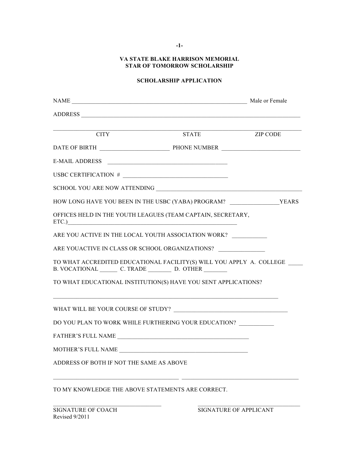**-1-**

## **VA STATE BLAKE HARRISON MEMORIAL STAR OF TOMORROW SCHOLARSHIP**

## **SCHOLARSHIP APPLICATION**

| $\overline{\text{CITY}}$                                                                                | <b>STATE</b> | <b>ZIP CODE</b> |
|---------------------------------------------------------------------------------------------------------|--------------|-----------------|
|                                                                                                         |              |                 |
| E-MAIL ADDRESS                                                                                          |              |                 |
| USBC CERTIFICATION $#$                                                                                  |              |                 |
|                                                                                                         |              |                 |
|                                                                                                         |              |                 |
| OFFICES HELD IN THE YOUTH LEAGUES (TEAM CAPTAIN, SECRETARY,<br>ETC.                                     |              |                 |
| ARE YOU ACTIVE IN THE LOCAL YOUTH ASSOCIATION WORK?                                                     |              |                 |
| ARE YOUACTIVE IN CLASS OR SCHOOL ORGANIZATIONS?                                                         |              |                 |
| TO WHAT ACCREDITED EDUCATIONAL FACILITY(S) WILL YOU APPLY A. COLLEGE<br>B. VOCATIONAL C. TRADE D. OTHER |              |                 |
| TO WHAT EDUCATIONAL INSTITUTION(S) HAVE YOU SENT APPLICATIONS?                                          |              |                 |
|                                                                                                         |              |                 |
| DO YOU PLAN TO WORK WHILE FURTHERING YOUR EDUCATION?                                                    |              |                 |
|                                                                                                         |              |                 |
| MOTHER'S FULL NAME NAME                                                                                 |              |                 |
| ADDRESS OF BOTH IF NOT THE SAME AS ABOVE                                                                |              |                 |
| TO MY KNOWLEDGE THE ABOVE STATEMENTS ARE CORRECT.                                                       |              |                 |

 $\_$  , and the state of the state of the state of the state of the state of the state of the state of the state of the state of the state of the state of the state of the state of the state of the state of the state of the

Revised 9/2011

SIGNATURE OF COACH SIGNATURE OF APPLICANT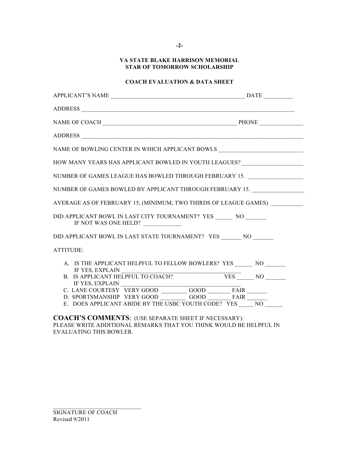# **COACH EVALUATION & DATA SHEET**

| ADDRESS                                                                                          |  |
|--------------------------------------------------------------------------------------------------|--|
| NAME OF BOWLING CENTER IN WHICH APPLICANT BOWLS $\_\_$                                           |  |
| HOW MANY YEARS HAS APPLICANT BOWLED IN YOUTH LEAGUES? __________________________                 |  |
| NUMBER OF GAMES LEAGUE HAS BOWLED THROUGH FEBRUARY 15.                                           |  |
| NUMBER OF GAMES BOWLED BY APPLICANT THROUGH FEBRUARY 15.                                         |  |
| AVERAGE AS OF FEBRUARY 15, (MINIMUM, TWO THIRDS OF LEAGUE GAMES)                                 |  |
| DID APPLICANT BOWL IN LAST CITY TOURNAMENT? YES ________ NO ________<br>IF NOT WAS ONE HELD?     |  |
| DID APPLICANT BOWL IN LAST STATE TOURNAMENT? YES NO                                              |  |
| ATTITUDE:                                                                                        |  |
| A. IS THE APPLICANT HELPFUL TO FELLOW BOWLERS? YES ______ NO ______                              |  |
| IF YES, EXPLAIN B. IS APPLICANT HELPFUL TO COACH? YES ________ NO ________                       |  |
| C. LANE COURTESY VERY GOOD GOOD FAIR                                                             |  |
| D. SPORTSMANSHIP VERY GOOD GOOD FAIR<br>E. DOES APPLICANT ABIDE BY THE USBC YOUTH CODE? $YES$ NO |  |
|                                                                                                  |  |

**COACH'S COMMENTS**: (USE SEPARATE SHEET IF NECESSARY): PLEASE WRITE ADDITIONAL REMARKS THAT YOU THINK WOULD BE HELPFUL IN EVALUATING THIS BOWLER.

\_\_\_\_\_\_\_\_\_\_\_\_\_\_\_\_\_\_\_\_\_\_\_\_\_\_\_\_\_\_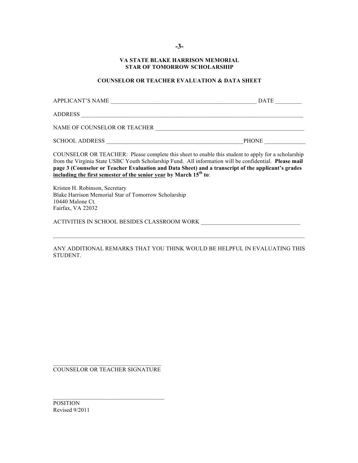**-3-**

#### **VA STATE BLAKE HARRISON MEMORIAL STAR OF TOMORROW SCHOLARSHIP**

# **COUNSELOR OR TEACHER EVALUATION & DATA SHEET**

| <b>APPLICANT'S NAME</b>      | <b>DATE</b>  |
|------------------------------|--------------|
| <b>ADDRESS</b>               |              |
| NAME OF COUNSELOR OR TEACHER |              |
| <b>SCHOOL ADDRESS</b>        | <b>PHONE</b> |

COUNSELOR OR TEACHER: Please complete this sheet to enable this student to apply for a scholarship from the Virginia State USBC Youth Scholarship Fund. All information will be confidential. **Please mail page 3 (Counselor or Teacher Evaluation and Data Sheet) and a transcript of the applicant's grades including the first semester of the senior year by March 15th to**:

Kristen H. Robinson, Secretary Blake Harrison Memorial Star of Tomorrow Scholarship 10440 Malone Ct. Fairfax, VA 22032

ACTIVITIES IN SCHOOL BESIDES CLASSROOM WORK

ANY ADDITIONAL REMARKS THAT YOU THINK WOULD BE HELPFUL IN EVALUATING THIS STUDENT.

COUNSELOR OR TEACHER SIGNATURE

POSITION Revised 9/2011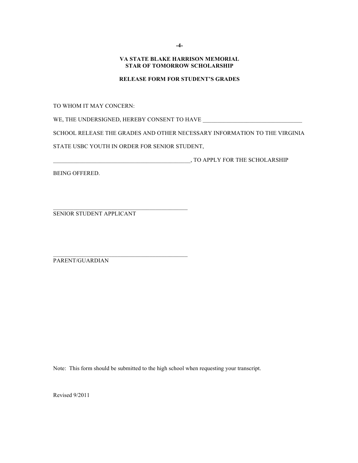#### **RELEASE FORM FOR STUDENT'S GRADES**

TO WHOM IT MAY CONCERN:

WE, THE UNDERSIGNED, HEREBY CONSENT TO HAVE \_\_\_\_\_\_\_\_\_\_\_\_\_\_\_\_\_\_\_\_\_\_\_\_\_\_\_\_\_\_\_\_\_\_

SCHOOL RELEASE THE GRADES AND OTHER NECESSARY INFORMATION TO THE VIRGINIA

STATE USBC YOUTH IN ORDER FOR SENIOR STUDENT,

 $\mathcal{L}_\text{max}$  and the contract of the contract of the contract of the contract of the contract of the contract of the contract of the contract of the contract of the contract of the contract of the contract of the contrac

\_\_\_\_\_\_\_\_\_\_\_\_\_\_\_\_\_\_\_\_\_\_\_\_\_\_\_\_\_\_\_\_\_\_\_\_\_\_\_\_\_\_\_\_\_\_\_, TO APPLY FOR THE SCHOLARSHIP

BEING OFFERED.

SENIOR STUDENT APPLICANT

PARENT/GUARDIAN

Note: This form should be submitted to the high school when requesting your transcript.

Revised 9/2011